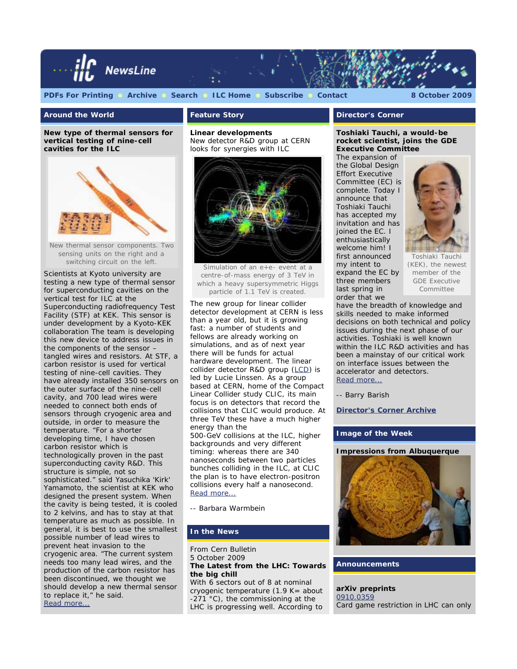

#### **Around the World**

**New type of thermal sensors for vertical testing of nine-cell cavities for the ILC**



New thermal sensor components. Two sensing units on the right and a switching circuit on the left.

Scientists at Kyoto university are testing a new type of thermal sensor for superconducting cavities on the vertical test for ILC at the Superconducting radiofrequency Test Facility (STF) at KEK. This sensor is under development by a Kyoto-KEK collaboration The team is developing this new device to address issues in the components of the sensor – tangled wires and resistors. At STF, a carbon resistor is used for vertical testing of nine-cell cavities. They have already installed 350 sensors on the outer surface of the nine-cell cavity, and 700 lead wires were needed to connect both ends of sensors through cryogenic area and outside, in order to measure the temperature. "For a shorter developing time, I have chosen carbon resistor which is technologically proven in the past superconducting cavity R&D. This structure is simple, not so sophisticated." said Yasuchika 'Kirk' Yamamoto, the scientist at KEK who designed the present system. When the cavity is being tested, it is cooled to 2 kelvins, and has to stay at that temperature as much as possible. In general, it is best to use the smallest possible number of lead wires to prevent heat invasion to the cryogenic area. "The current system needs too many lead wires, and the production of the carbon resistor has been discontinued, we thought we should develop a new thermal sensor to replace it," he said. [Read more...](http://www.linearcollider.org/newsline/readmore_20091008_atw.html)

# **Feature Story**

**Linear developments** *New detector R&D group at CERN looks for synergies with ILC*



Simulation of an e+e- event at a centre-of-mass energy of 3 TeV in which a heavy supersymmetric Higgs particle of 1.1 TeV is created.

The new group for linear collider detector development at CERN is less than a year old, but it is growing fast: a number of students and fellows are already working on simulations, and as of next year there will be funds for actual hardware development. The linear collider detector R&D group [\(LCD](http://lcd.web.cern.ch/LCD/)) is led by Lucie Linssen. As a group based at CERN, home of the Compact Linear Collider study CLIC, its main focus is on detectors that record the collisions that CLIC would produce. At three TeV these have a much higher energy than the 500-GeV collisions at the ILC, higher backgrounds and very different timing: whereas there are 340

nanoseconds between two particles bunches colliding in the ILC, at CLIC the plan is to have electron-positron collisions every half a nanosecond. [Read more...](http://www.linearcollider.org/newsline/readmore_20091008_ftr1.html)

*-- Barbara Warmbein*

## **In the News**

From *Cern Bulletin* 5 October 2009 **The Latest from the LHC: Towards the big chill** With 6 sectors out of 8 at nominal cryogenic temperature  $(1.9 K =$  about  $-271$  °C), the commissioning at the LHC is progressing well. According to

## **Director's Corner**

**Toshiaki Tauchi, a would-be rocket scientist, joins the GDE Executive Committee**

The expansion of the Global Design Effort Executive Committee (EC) is complete. Today I announce that Toshiaki Tauchi has accepted my invitation and has joined the EC. I enthusiastically welcome him! I first announced my intent to expand the EC by three members last spring in order that we



Toshiaki Tauchi (KEK), the newest member of the GDE Executive Committee

have the breadth of knowledge and skills needed to make informed decisions on both technical and policy issues during the next phase of our activities. Toshiaki is well known within the ILC R&D activities and has been a mainstay of our critical work on interface issues between the accelerator and detectors. [Read more...](http://www.linearcollider.org/cms/?pid=1000676)

*-- Barry Barish*

**[Director's Corner Archive](http://www.linearcollider.org/cms/?pid=1000026)**

### **Image of the Week**

**Impressions from Albuquerque**



**Announcements**

**arXiv preprints** [0910.0359](http://arxiv.org/abs/0910.0359) Card game restriction in LHC can only